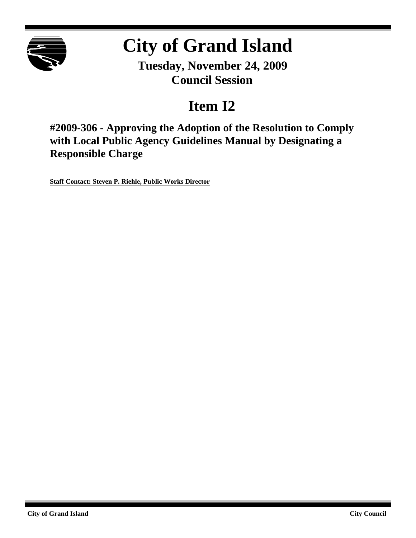

# **City of Grand Island**

**Tuesday, November 24, 2009 Council Session**

# **Item I2**

**#2009-306 - Approving the Adoption of the Resolution to Comply with Local Public Agency Guidelines Manual by Designating a Responsible Charge**

**Staff Contact: Steven P. Riehle, Public Works Director**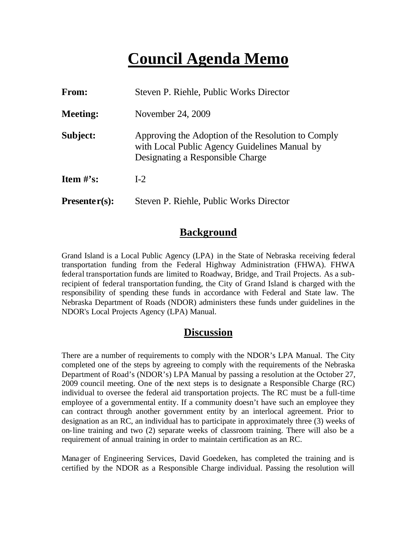## **Council Agenda Memo**

| <b>From:</b>    | Steven P. Riehle, Public Works Director                                                                                                 |  |  |  |
|-----------------|-----------------------------------------------------------------------------------------------------------------------------------------|--|--|--|
| <b>Meeting:</b> | November 24, 2009                                                                                                                       |  |  |  |
| Subject:        | Approving the Adoption of the Resolution to Comply<br>with Local Public Agency Guidelines Manual by<br>Designating a Responsible Charge |  |  |  |
| Item $\#$ 's:   | $I-2$                                                                                                                                   |  |  |  |
| $Presenter(s):$ | Steven P. Riehle, Public Works Director                                                                                                 |  |  |  |

#### **Background**

Grand Island is a Local Public Agency (LPA) in the State of Nebraska receiving federal transportation funding from the Federal Highway Administration (FHWA). FHWA federal transportation funds are limited to Roadway, Bridge, and Trail Projects. As a subrecipient of federal transportation funding, the City of Grand Island is charged with the responsibility of spending these funds in accordance with Federal and State law. The Nebraska Department of Roads (NDOR) administers these funds under guidelines in the NDOR's Local Projects Agency (LPA) Manual.

#### **Discussion**

There are a number of requirements to comply with the NDOR's LPA Manual. The City completed one of the steps by agreeing to comply with the requirements of the Nebraska Department of Road's (NDOR's) LPA Manual by passing a resolution at the October 27, 2009 council meeting. One of the next steps is to designate a Responsible Charge (RC) individual to oversee the federal aid transportation projects. The RC must be a full-time employee of a governmental entity. If a community doesn't have such an employee they can contract through another government entity by an interlocal agreement. Prior to designation as an RC, an individual has to participate in approximately three (3) weeks of on-line training and two (2) separate weeks of classroom training. There will also be a requirement of annual training in order to maintain certification as an RC.

Manager of Engineering Services, David Goedeken, has completed the training and is certified by the NDOR as a Responsible Charge individual. Passing the resolution will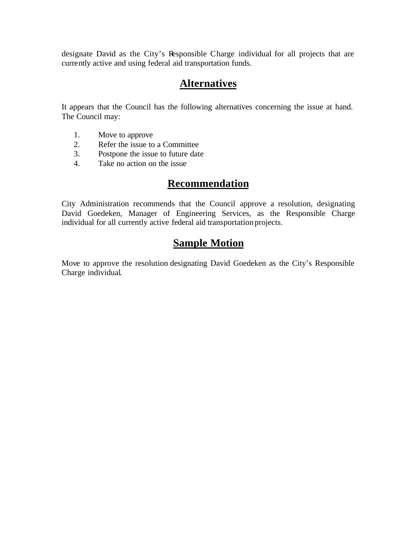designate David as the City's Responsible Charge individual for all projects that are currently active and using federal aid transportation funds.

#### **Alternatives**

It appears that the Council has the following alternatives concerning the issue at hand. The Council may:

- 1. Move to approve
- 2. Refer the issue to a Committee<br>3. Postpone the issue to future date
- Postpone the issue to future date
- 4. Take no action on the issue

#### **Recommendation**

City Administration recommends that the Council approve a resolution, designating David Goedeken, Manager of Engineering Services, as the Responsible Charge individual for all currently active federal aid transportation projects.

### **Sample Motion**

Move to approve the resolution designating David Goedeken as the City's Responsible Charge individual.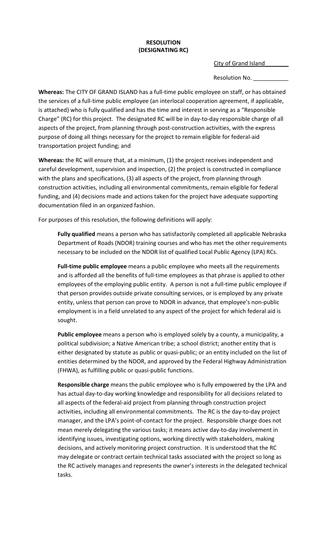#### **RESOLUTION (DESIGNATING RC)**

City of Grand Island

Resolution No.

**Whereas:** The CITY OF GRAND ISLAND has a full-time public employee on staff, or has obtained the services of a full-time public employee (an interlocal cooperation agreement, if applicable, is attached) who is fully qualified and has the time and interest in serving as a "Responsible Charge" (RC) for this project. The designated RC will be in day-to-day responsible charge of all aspects of the project, from planning through post-construction activities, with the express purpose of doing all things necessary for the project to remain eligible for federal-aid transportation project funding; and

**Whereas:** the RC will ensure that, at a minimum, (1) the project receives independent and careful development, supervision and inspection, (2) the project is constructed in compliance with the plans and specifications, (3) all aspects of the project, from planning through construction activities, including all environmental commitments, remain eligible for federal funding, and (4) decisions made and actions taken for the project have adequate supporting documentation filed in an organized fashion.

For purposes of this resolution, the following definitions will apply:

**Fully qualified** means a person who has satisfactorily completed all applicable Nebraska Department of Roads (NDOR) training courses and who has met the other requirements necessary to be included on the NDOR list of qualified Local Public Agency (LPA) RCs.

**Full-time public employee** means a public employee who meets all the requirements and is afforded all the benefits of full-time employees as that phrase is applied to other employees of the employing public entity. A person is not a full-time public employee if that person provides outside private consulting services, or is employed by any private entity, unless that person can prove to NDOR in advance, that employee's non-public employment is in a field unrelated to any aspect of the project for which federal aid is sought.

**Public employee** means a person who is employed solely by a county, a municipality, a political subdivision; a Native American tribe; a school district; another entity that is either designated by statute as public or quasi-public; or an entity included on the list of entities determined by the NDOR, and approved by the Federal Highway Administration (FHWA), as fulfilling public or quasi-public functions.

**Responsible charge** means the public employee who is fully empowered by the LPA and has actual day-to-day working knowledge and responsibility for all decisions related to all aspects of the federal-aid project from planning through construction project activities, including all environmental commitments. The RC is the day-to-day project manager, and the LPA's point-of-contact for the project. Responsible charge does not mean merely delegating the various tasks; it means active day-to-day involvement in identifying issues, investigating options, working directly with stakeholders, making decisions, and actively monitoring project construction. It is understood that the RC may delegate or contract certain technical tasks associated with the project so long as the RC actively manages and represents the owner's interests in the delegated technical tasks.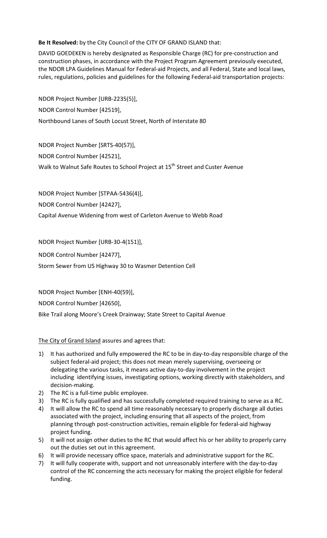**Be It Resolved:** by the City Council of the CITY OF GRAND ISLAND that:

DAVID GOEDEKEN is hereby designated as Responsible Charge (RC) for pre-construction and construction phases, in accordance with the Project Program Agreement previously executed, the NDOR LPA Guidelines Manual for Federal-aid Projects, and all Federal, State and local laws, rules, regulations, policies and guidelines for the following Federal-aid transportation projects:

NDOR Project Number [URB-2235(5)], NDOR Control Number [42519], Northbound Lanes of South Locust Street, North of Interstate 80

NDOR Project Number [SRTS-40(57)],

NDOR Control Number [42521],

Walk to Walnut Safe Routes to School Project at 15<sup>th</sup> Street and Custer Avenue

NDOR Project Number [STPAA-5436(4)],

NDOR Control Number [42427],

Capital Avenue Widening from west of Carleton Avenue to Webb Road

NDOR Project Number [URB-30-4(151)],

NDOR Control Number [42477],

Storm Sewer from US Highway 30 to Wasmer Detention Cell

NDOR Project Number [ENH-40(59)],

NDOR Control Number [42650],

Bike Trail along Moore's Creek Drainway; State Street to Capital Avenue

#### The City of Grand Island assures and agrees that:

- 1) It has authorized and fully empowered the RC to be in day-to-day responsible charge of the subject federal-aid project; this does not mean merely supervising, overseeing or delegating the various tasks, it means active day-to-day involvement in the project including identifying issues, investigating options, working directly with stakeholders, and decision-making.
- 2) The RC is a full-time public employee.
- 3) The RC is fully qualified and has successfully completed required training to serve as a RC.
- 4) It will allow the RC to spend all time reasonably necessary to properly discharge all duties associated with the project, including ensuring that all aspects of the project, from planning through post-construction activities, remain eligible for federal-aid highway project funding.
- 5) It will not assign other duties to the RC that would affect his or her ability to properly carry out the duties set out in this agreement.
- 6) It will provide necessary office space, materials and administrative support for the RC.
- 7) It will fully cooperate with, support and not unreasonably interfere with the day-to-day control of the RC concerning the acts necessary for making the project eligible for federal funding.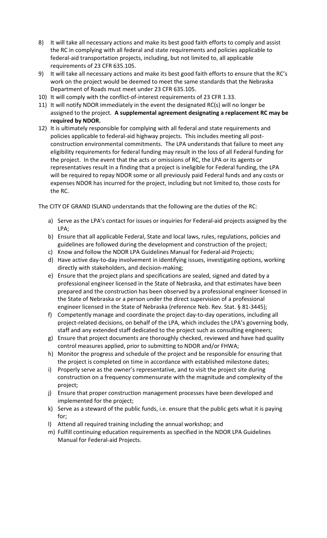- 8) It will take all necessary actions and make its best good faith efforts to comply and assist the RC in complying with all federal and state requirements and policies applicable to federal-aid transportation projects, including, but not limited to, all applicable requirements of 23 CFR 635.105.
- 9) It will take all necessary actions and make its best good faith efforts to ensure that the RC's work on the project would be deemed to meet the same standards that the Nebraska Department of Roads must meet under 23 CFR 635.105.
- 10) It will comply with the conflict-of-interest requirements of 23 CFR 1.33.
- 11) It will notify NDOR immediately in the event the designated RC(s) will no longer be assigned to the project. **A supplemental agreement designating a replacement RC may be required by NDOR.**
- 12) It is ultimately responsible for complying with all federal and state requirements and policies applicable to federal-aid highway projects. This includes meeting all postconstruction environmental commitments. The LPA understands that failure to meet any eligibility requirements for federal funding may result in the loss of all Federal funding for the project. In the event that the acts or omissions of RC, the LPA or its agents or representatives result in a finding that a project is ineligible for Federal funding, the LPA will be required to repay NDOR some or all previously paid Federal funds and any costs or expenses NDOR has incurred for the project, including but not limited to, those costs for the RC.

The CITY OF GRAND ISLAND understands that the following are the duties of the RC:

- a) Serve as the LPA's contact for issues or inquiries for Federal-aid projects assigned by the LPA;
- b) Ensure that all applicable Federal, State and local laws, rules, regulations, policies and guidelines are followed during the development and construction of the project;
- c) Know and follow the NDOR LPA Guidelines Manual for Federal-aid Projects;
- d) Have active day-to-day involvement in identifying issues, investigating options, working directly with stakeholders, and decision-making;
- e) Ensure that the project plans and specifications are sealed, signed and dated by a professional engineer licensed in the State of Nebraska, and that estimates have been prepared and the construction has been observed by a professional engineer licensed in the State of Nebraska or a person under the direct supervision of a professional engineer licensed in the State of Nebraska (reference Neb. Rev. Stat. § 81-3445);
- f) Competently manage and coordinate the project day-to-day operations, including all project-related decisions, on behalf of the LPA, which includes the LPA's governing body, staff and any extended staff dedicated to the project such as consulting engineers;
- g) Ensure that project documents are thoroughly checked, reviewed and have had quality control measures applied, prior to submitting to NDOR and/or FHWA;
- h) Monitor the progress and schedule of the project and be responsible for ensuring that the project is completed on time in accordance with established milestone dates;
- i) Properly serve as the owner's representative, and to visit the project site during construction on a frequency commensurate with the magnitude and complexity of the project;
- j) Ensure that proper construction management processes have been developed and implemented for the project;
- k) Serve as a steward of the public funds, i.e. ensure that the public gets what it is paying for;
- l) Attend all required training including the annual workshop; and
- m) Fulfill continuing education requirements as specified in the NDOR LPA Guidelines Manual for Federal-aid Projects.